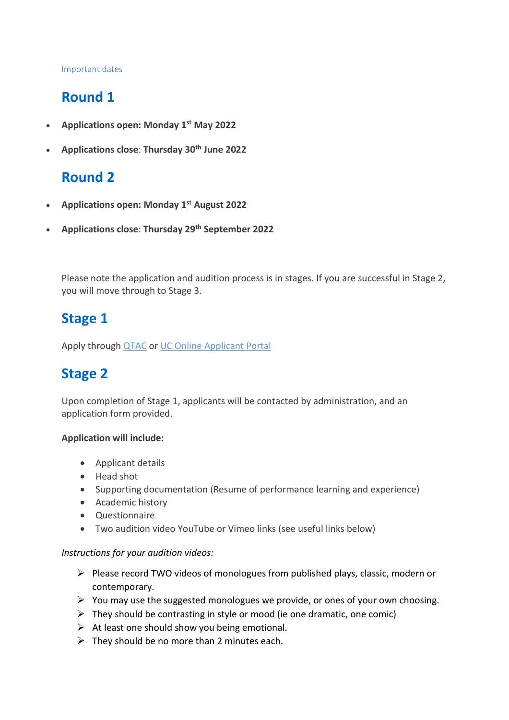#### Important dates

# **Round 1**

- **Applications open: Monday 1st May 2022**
- **Applications close**: **Thursday 30th June 2022**

# **Round 2**

- **Applications open: Monday 1st August 2022**
- **Applications close**: **Thursday 29th September 2022**

Please note the application and audition process is in stages. If you are successful in Stage 2, you will move through to Stage 3.

## **Stage 1**

Apply through **[QTAC](http://www.qtac.edu.au/)** or [UC Online Applicant Portal](https://www.canberra.edu.au/future-students/apply-to-uc/domestic-student-applications)

## **Stage 2**

Upon completion of Stage 1, applicants will be contacted by administration, and an application form provided.

#### **Application will include:**

- Applicant details
- Head shot
- Supporting documentation (Resume of performance learning and experience)
- Academic history
- Questionnaire
- Two audition video YouTube or Vimeo links (see useful links below)

#### *Instructions for your audition videos:*

- $\triangleright$  Please record TWO videos of monologues from published plays, classic, modern or contemporary.
- $\triangleright$  You may use the suggested monologues we provide, or ones of your own choosing.
- $\triangleright$  They should be contrasting in style or mood (ie one dramatic, one comic)
- $\triangleright$  At least one should show you being emotional.
- $\triangleright$  They should be no more than 2 minutes each.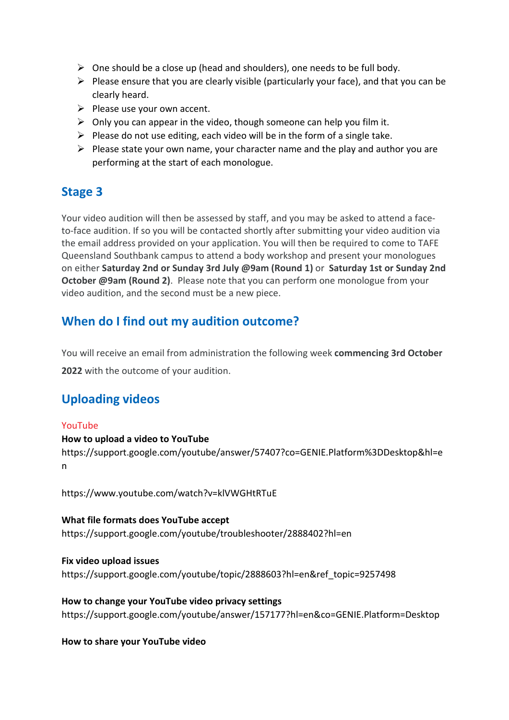- $\triangleright$  One should be a close up (head and shoulders), one needs to be full body.
- $\triangleright$  Please ensure that you are clearly visible (particularly your face), and that you can be clearly heard.
- $\triangleright$  Please use your own accent.
- $\triangleright$  Only you can appear in the video, though someone can help you film it.
- $\triangleright$  Please do not use editing, each video will be in the form of a single take.
- $\triangleright$  Please state your own name, your character name and the play and author you are performing at the start of each monologue.

### **Stage 3**

Your video audition will then be assessed by staff, and you may be asked to attend a faceto-face audition. If so you will be contacted shortly after submitting your video audition via the email address provided on your application. You will then be required to come to TAFE Queensland Southbank campus to attend a body workshop and present your monologues on either **Saturday 2nd or Sunday 3rd July @9am (Round 1)** or **Saturday 1st or Sunday 2nd October @9am (Round 2)**. Please note that you can perform one monologue from your video audition, and the second must be a new piece.

## **When do I find out my audition outcome?**

You will receive an email from administration the following week **commencing 3rd October**

**2022** with the outcome of your audition.

## **Uploading videos**

#### YouTube

#### **How to upload a video to YouTube**

[https://support.google.com/youtube/a](https://support.google.com/youtube/)nswer/57407?co=GENIE.Platform%3DDesktop&hl=e n

<https://www.youtube.com/watch?v=klVWGHtRTuE>

#### **What file formats does YouTube accept**

[https://support.google.com/youtube/t](https://support.google.com/youtube/)roubleshooter/2888402?hl=en

**Fix video upload issues**

[https://support.google.com/youtube/t](https://support.google.com/youtube/)opic/2888603?hl=en&ref\_topic=9257498

## **How to change your YouTube video privacy settings**

[https://support.google.com/youtube/a](https://support.google.com/youtube/)nswer/157177?hl=en&co=GENIE.Platform=Desktop

#### **How to share your YouTube video**